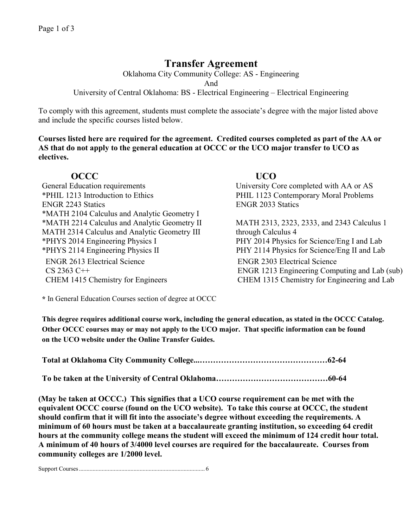# **Transfer Agreement**

Oklahoma City Community College: AS - Engineering

And

University of Central Oklahoma: BS - Electrical Engineering – Electrical Engineering

To comply with this agreement, students must complete the associate's degree with the major listed above and include the specific courses listed below.

**Courses listed here are required for the agreement. Credited courses completed as part of the AA or AS that do not apply to the general education at OCCC or the UCO major transfer to UCO as electives.**

## **OCCC UCO**

General Education requirements University Core completed with AA or AS \*PHIL 1213 Introduction to Ethics PHIL 1123 Contemporary Moral Problems ENGR 2243 Statics ENGR 2033 Statics \*MATH 2104 Calculus and Analytic Geometry I \*MATH 2214 Calculus and Analytic Geometry II MATH 2313, 2323, 2333, and 2343 Calculus 1 MATH 2314 Calculus and Analytic Geometry III through Calculus 4 \*PHYS 2014 Engineering Physics I PHY 2014 Physics for Science/Eng I and Lab \*PHYS 2114 Engineering Physics IIPHY 2114 Physics for Science/Eng II and Lab ENGR 2613 Electrical Science ENGR 2303 Electrical Science

CS 2363 C++ ENGR 1213 Engineering Computing and Lab (sub) CHEM 1415 Chemistry for Engineers CHEM 1315 Chemistry for Engineering and Lab

**\*** In General Education Courses section of degree at OCCC

**This degree requires additional course work, including the general education, as stated in the OCCC Catalog. Other OCCC courses may or may not apply to the UCO major. That specific information can be found on the UCO website under the Online Transfer Guides.** 

**Total at Oklahoma City Community College...…………………………………………62-64**

**To be taken at the University of Central Oklahoma……………………………………60-64**

**(May be taken at OCCC.) This signifies that a UCO course requirement can be met with the equivalent OCCC course (found on the UCO website). To take this course at OCCC, the student should confirm that it will fit into the associate's degree without exceeding the requirements. A minimum of 60 hours must be taken at a baccalaureate granting institution, so exceeding 64 credit hours at the community college means the student will exceed the minimum of 124 credit hour total. A minimum of 40 hours of 3/4000 level courses are required for the baccalaureate. Courses from community colleges are 1/2000 level.**

Support Courses................................................................................... 6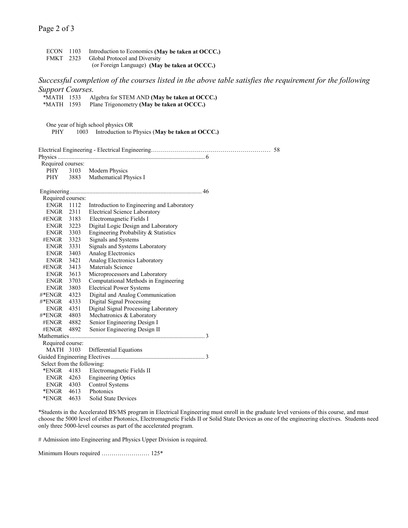ECON 1103 Introduction to Economics **(May be taken at OCCC.)**<br>FMKT 2323 Global Protocol and Diversity Global Protocol and Diversity (or Foreign Language) **(May be taken at OCCC.)** *Successful completion of the courses listed in the above table satisfies the requirement for the following Support Courses.* \*MATH 1533 Algebra for STEM AND **(May be taken at OCCC.)** Plane Trigonometry **(May be taken at OCCC.)** One year of high school physics OR PHY 1003 Introduction to Physics (**May be taken at OCCC.)** Electrical Engineering - Electrical Engineering…………………………………………………… 58 Physics................................................................................................. 6 Required courses: PHY 3103 Modern Physics PHY 3883 Mathematical Physics I Engineering....................................................................................... 46 Required courses: ENGR 1112 Introduction to Engineering and Laboratory ENGR 2311 Electrical Science Laboratory #ENGR 3183 Electromagnetic Fields I ENGR 3223 Digital Logic Design and Laboratory ENGR 3303 Engineering Probability & Statistics #ENGR 3323 Signals and Systems ENGR 3331 Signals and Systems Laboratory ENGR 3403 Analog Electronics ENGR 3421 Analog Electronics Laboratory #ENGR 3413 Materials Science ENGR 3613 Microprocessors and Laboratory ENGR 3703 Computational Methods in Engineering ENGR 3803 Electrical Power Systems #\*ENGR 4323 Digital and Analog Communication #\*ENGR 4333 Digital Signal Processing ENGR 4351 Digital Signal Processing Laboratory #\*ENGR 4803 Mechatronics & Laboratory #ENGR 4882 Senior Engineering Design I #ENGR 4892 Senior Engineering Design II Mathematics......................................................................................... 3 Required course: MATH 3103 Differential Equations Guided Engineering Electives.............................................................. 3 Select from the following: \*ENGR 4183 Electromagnetic Fields II ENGR 4263 Engineering Optics ENGR 4303 Control Systems \*ENGR 4613 Photonics \*ENGR 4633 Solid State Devices

\*Students in the Accelerated BS/MS program in Electrical Engineering must enroll in the graduate level versions of this course, and must choose the 5000 level of either Photonics, Electromagnetic Fields II or Solid State Devices as one of the engineering electives. Students need only three 5000-level courses as part of the accelerated program.

# Admission into Engineering and Physics Upper Division is required.

Minimum Hours required …………………… 125\*